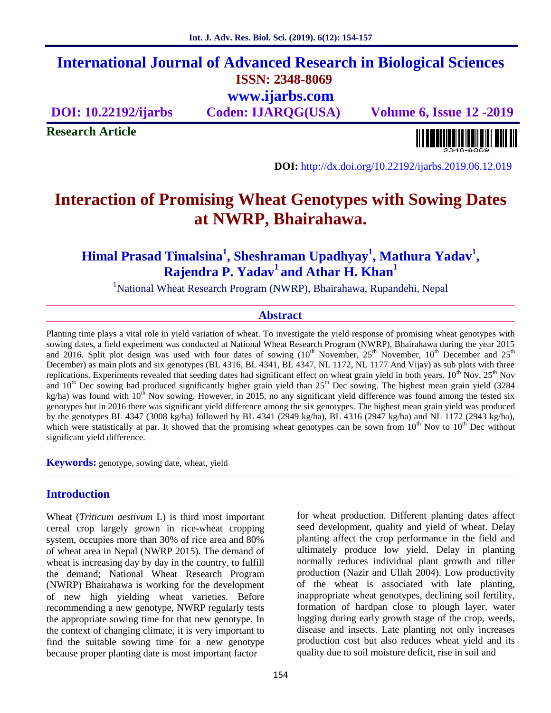## **International Journal of Advanced Research in Biological Sciences ISSN: 2348-8069 www.ijarbs.com**

**DOI: 10.22192/ijarbs Coden: IJARQG(USA) Volume 6, Issue 12 -2019**

**Research Article**

<u> Alban di Italia di Bar</u>

**DOI:** http://dx.doi.org/10.22192/ijarbs.2019.06.12.019

# **Interaction of Promising Wheat Genotypes with Sowing Dates at NWRP, Bhairahawa.**

**Himal Prasad Timalsina<sup>1</sup> , Sheshraman Upadhyay<sup>1</sup> , Mathura Yadav<sup>1</sup> , Rajendra P. Yadav<sup>1</sup> and Athar H. Khan<sup>1</sup>**

<sup>1</sup>National Wheat Research Program (NWRP), Bhairahawa, Rupandehi, Nepal

#### **Abstract**

Planting time plays a vital role in yield variation of wheat. To investigate the yield response of promising wheat genotypes with sowing dates, a field experiment was conducted at National Wheat Research Program (NWRP), Bhairahawa during the year 2015 and 2016. Split plot design was used with four dates of sowing  $(10^{th}$  November,  $25^{th}$  November,  $10^{th}$  December and  $25^{th}$ December) as main plots and six genotypes (BL 4316, BL 4341, BL 4347, NL 1172, NL 1177 And Vijay) as sub plots with three replications. Experiments revealed that seeding dates had significant effect on wheat grain yield in both years. 10<sup>th</sup> Nov, 25<sup>th</sup> Nov and  $10^{th}$  Dec sowing had produced significantly higher grain yield than  $25^{th}$  Dec sowing. The highest mean grain yield (3284 kg/ha) was found with  $10^{th}$  Nov sowing. However, in 2015, no any significant yield difference was found among the tested six genotypes but in 2016 there was significant yield difference among the six genotypes. The highest mean grain yield was produced by the genotypes BL 4347 (3008 kg/ha) followed by BL 4341 (2949 kg/ha), BL 4316 (2947 kg/ha) and NL 1172 (2943 kg/ha), which were statistically at par. It showed that the promising wheat genotypes can be sown from  $10^{th}$  Nov to  $10^{th}$  Dec without significant yield difference.

**Keywords:** genotype, sowing date, wheat, yield

#### **Introduction**

Wheat (*Triticum aestivum* L) is third most important cereal crop largely grown in rice-wheat cropping system, occupies more than 30% of rice area and 80% of wheat area in Nepal (NWRP 2015). The demand of wheat is increasing day by day in the country, to fulfill the demand; National Wheat Research Program (NWRP) Bhairahawa is working for the development of new high yielding wheat varieties. Before recommending a new genotype, NWRP regularly tests the appropriate sowing time for that new genotype. In the context of changing climate, it is very important to find the suitable sowing time for a new genotype because proper planting date is most important factor

for wheat production. Different planting dates affect seed development, quality and yield of wheat. Delay planting affect the crop performance in the field and ultimately produce low yield. Delay in planting normally reduces individual plant growth and tiller production (Nazir and Ullah 2004). Low productivity of the wheat is associated with late planting, inappropriate wheat genotypes, declining soil fertility, formation of hardpan close to plough layer, water logging during early growth stage of the crop, weeds, disease and insects. Late planting not only increases production cost but also reduces wheat yield and its quality due to soil moisture deficit, rise in soil and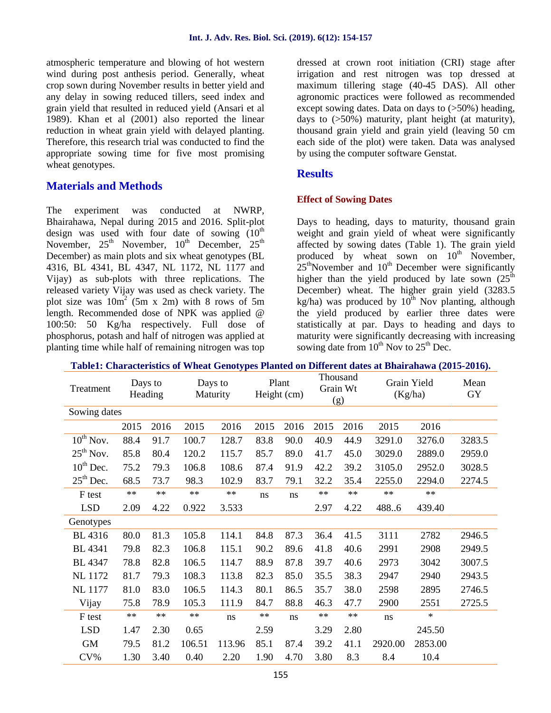atmospheric temperature and blowing of hot western wind during post anthesis period. Generally, wheat crop sown during November results in better yield and any delay in sowing reduced tillers, seed index and grain yield that resulted in reduced yield (Ansari et al 1989). Khan et al (2001) also reported the linear reduction in wheat grain yield with delayed planting. Therefore, this research trial was conducted to find the appropriate sowing time for five most promising wheat genotypes.

## **Materials and Methods**

The experiment was conducted at NWRP, Bhairahawa, Nepal during 2015 and 2016. Split-plot design was used with four date of sowing  $(10<sup>th</sup>$ November,  $25<sup>th</sup>$  November,  $10<sup>th</sup>$  December,  $25<sup>th</sup>$ December) as main plots and six wheat genotypes (BL 4316, BL 4341, BL 4347, NL 1172, NL 1177 and Vijay) as sub-plots with three replications. The released variety Vijay was used as check variety. The plot size was  $10m^2$  (5m x 2m) with 8 rows of 5m length. Recommended dose of NPK was applied @ 100:50: 50 Kg/ha respectively. Full dose of phosphorus, potash and half of nitrogen was applied at planting time while half of remaining nitrogen was top dressed at crown root initiation (CRI) stage after irrigation and rest nitrogen was top dressed at maximum tillering stage (40-45 DAS). All other agronomic practices were followed as recommended except sowing dates. Data on days to  $(>50%)$  heading, days to (>50%) maturity, plant height (at maturity), thousand grain yield and grain yield (leaving 50 cm each side of the plot) were taken. Data was analysed by using the computer software Genstat.

### **Results**

#### **Effect of Sowing Dates**

Days to heading, days to maturity, thousand grain weight and grain yield of wheat were significantly affected by sowing dates (Table 1). The grain yield produced by wheat sown on  $10<sup>th</sup>$  November,  $25<sup>th</sup>$ November and  $10<sup>th</sup>$  December were significantly higher than the yield produced by late sown  $(25<sup>th</sup>$ December) wheat. The higher grain yield (3283.5 kg/ha) was produced by  $10^{th}$  Nov planting, although the yield produced by earlier three dates were statistically at par. Days to heading and days to maturity were significantly decreasing with increasing sowing date from  $10^{th}$  Nov to  $25^{th}$  Dec.

| Treatment             | Days to<br>Heading |            | Days to<br>Maturity |            | Plant<br>Height (cm) |      | Thousand<br>Grain Wt<br>(g) |            | Grain Yield<br>(Kg/ha) |            | Mean<br>GY |
|-----------------------|--------------------|------------|---------------------|------------|----------------------|------|-----------------------------|------------|------------------------|------------|------------|
| Sowing dates          |                    |            |                     |            |                      |      |                             |            |                        |            |            |
|                       | 2015               | 2016       | 2015                | 2016       | 2015                 | 2016 | 2015                        | 2016       | 2015                   | 2016       |            |
| $10^{th}$ Nov.        | 88.4               | 91.7       | 100.7               | 128.7      | 83.8                 | 90.0 | 40.9                        | 44.9       | 3291.0                 | 3276.0     | 3283.5     |
| $25th$ Nov.           | 85.8               | 80.4       | 120.2               | 115.7      | 85.7                 | 89.0 | 41.7                        | 45.0       | 3029.0                 | 2889.0     | 2959.0     |
| $10^{th}$ Dec.        | 75.2               | 79.3       | 106.8               | 108.6      | 87.4                 | 91.9 | 42.2                        | 39.2       | 3105.0                 | 2952.0     | 3028.5     |
| $25^{\text{th}}$ Dec. | 68.5               | 73.7       | 98.3                | 102.9      | 83.7                 | 79.1 | 32.2                        | 35.4       | 2255.0                 | 2294.0     | 2274.5     |
| F test                | $\ast\ast$         | $\ast\ast$ | $\ast\ast$          | $\ast\ast$ | ns                   | ns   | $\ast\ast$                  | $\ast\ast$ | $**$                   | $\ast\ast$ |            |
| <b>LSD</b>            | 2.09               | 4.22       | 0.922               | 3.533      |                      |      | 2.97                        | 4.22       | 488.6                  | 439.40     |            |
| Genotypes             |                    |            |                     |            |                      |      |                             |            |                        |            |            |
| <b>BL</b> 4316        | 80.0               | 81.3       | 105.8               | 114.1      | 84.8                 | 87.3 | 36.4                        | 41.5       | 3111                   | 2782       | 2946.5     |
| <b>BL</b> 4341        | 79.8               | 82.3       | 106.8               | 115.1      | 90.2                 | 89.6 | 41.8                        | 40.6       | 2991                   | 2908       | 2949.5     |
| <b>BL</b> 4347        | 78.8               | 82.8       | 106.5               | 114.7      | 88.9                 | 87.8 | 39.7                        | 40.6       | 2973                   | 3042       | 3007.5     |
| <b>NL</b> 1172        | 81.7               | 79.3       | 108.3               | 113.8      | 82.3                 | 85.0 | 35.5                        | 38.3       | 2947                   | 2940       | 2943.5     |
| <b>NL</b> 1177        | 81.0               | 83.0       | 106.5               | 114.3      | 80.1                 | 86.5 | 35.7                        | 38.0       | 2598                   | 2895       | 2746.5     |
| Vijay                 | 75.8               | 78.9       | 105.3               | 111.9      | 84.7                 | 88.8 | 46.3                        | 47.7       | 2900                   | 2551       | 2725.5     |
| F test                | $\ast\ast$         | $\ast\ast$ | $**$                | ns         | $\ast\ast$           | ns   | $\ast\ast$                  | $**$       | ns                     | $\ast$     |            |
| <b>LSD</b>            | 1.47               | 2.30       | 0.65                |            | 2.59                 |      | 3.29                        | 2.80       |                        | 245.50     |            |
| <b>GM</b>             | 79.5               | 81.2       | 106.51              | 113.96     | 85.1                 | 87.4 | 39.2                        | 41.1       | 2920.00                | 2853.00    |            |
| $CV\%$                | 1.30               | 3.40       | 0.40                | 2.20       | 1.90                 | 4.70 | 3.80                        | 8.3        | 8.4                    | 10.4       |            |

#### **Table1: Characteristics of Wheat Genotypes Planted on Different dates at Bhairahawa (2015-2016).**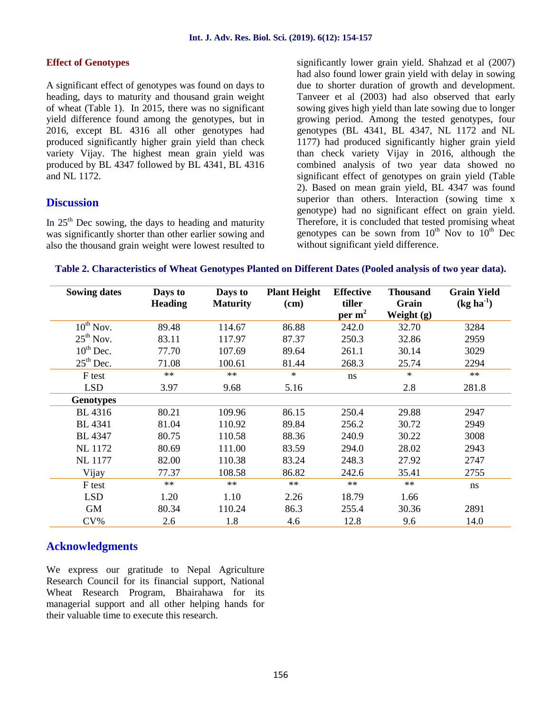#### **Effect of Genotypes**

A significant effect of genotypes was found on days to heading, days to maturity and thousand grain weight of wheat (Table 1). In 2015, there was no significant yield difference found among the genotypes, but in 2016, except BL 4316 all other genotypes had produced significantly higher grain yield than check variety Vijay. The highest mean grain yield was produced by BL 4347 followed by BL 4341, BL 4316 and NL 1172.

#### **Discussion**

In  $25<sup>th</sup>$  Dec sowing, the days to heading and maturity was significantly shorter than other earlier sowing and also the thousand grain weight were lowest resulted to significantly lower grain yield. Shahzad et al (2007) had also found lower grain yield with delay in sowing due to shorter duration of growth and development. Tanveer et al (2003) had also observed that early sowing gives high yield than late sowing due to longer growing period. Among the tested genotypes, four genotypes (BL 4341, BL 4347, NL 1172 and NL 1177) had produced significantly higher grain yield than check variety Vijay in 2016, although the combined analysis of two year data showed no significant effect of genotypes on grain yield (Table 2). Based on mean grain yield, BL 4347 was found superior than others. Interaction (sowing time x genotype) had no significant effect on grain yield. Therefore, it is concluded that tested promising wheat genotypes can be sown from  $10^{th}$  Nov to  $10^{th}$  Dec without significant yield difference.

| Table 2. Characteristics of Wheat Genotypes Planted on Different Dates (Pooled analysis of two year data). |  |
|------------------------------------------------------------------------------------------------------------|--|
|------------------------------------------------------------------------------------------------------------|--|

| <b>Sowing dates</b> | Days to<br><b>Heading</b> | Days to<br><b>Maturity</b> | <b>Plant Height</b><br>(cm) | <b>Effective</b><br>tiller<br>per $m2$ | <b>Thousand</b><br>Grain<br>Weight $(g)$ | <b>Grain Yield</b><br>$(kg ha-1)$ |
|---------------------|---------------------------|----------------------------|-----------------------------|----------------------------------------|------------------------------------------|-----------------------------------|
| $10^{th}$ Nov.      | 89.48                     | 114.67                     | 86.88                       | 242.0                                  | 32.70                                    | 3284                              |
| $25th$ Nov.         | 83.11                     | 117.97                     | 87.37                       | 250.3                                  | 32.86                                    | 2959                              |
| $10^{th}$ Dec.      | 77.70                     | 107.69                     | 89.64                       | 261.1                                  | 30.14                                    | 3029                              |
| $25th$ Dec.         | 71.08                     | 100.61                     | 81.44                       | 268.3                                  | 25.74                                    | 2294                              |
| F test              | $**$                      | $**$                       | $\ast$                      | ns                                     | $\ast$                                   | $\ast\ast$                        |
| <b>LSD</b>          | 3.97                      | 9.68                       | 5.16                        |                                        | 2.8                                      | 281.8                             |
| <b>Genotypes</b>    |                           |                            |                             |                                        |                                          |                                   |
| BL 4316             | 80.21                     | 109.96                     | 86.15                       | 250.4                                  | 29.88                                    | 2947                              |
| <b>BL</b> 4341      | 81.04                     | 110.92                     | 89.84                       | 256.2                                  | 30.72                                    | 2949                              |
| <b>BL</b> 4347      | 80.75                     | 110.58                     | 88.36                       | 240.9                                  | 30.22                                    | 3008                              |
| <b>NL</b> 1172      | 80.69                     | 111.00                     | 83.59                       | 294.0                                  | 28.02                                    | 2943                              |
| <b>NL</b> 1177      | 82.00                     | 110.38                     | 83.24                       | 248.3                                  | 27.92                                    | 2747                              |
| Vijay               | 77.37                     | 108.58                     | 86.82                       | 242.6                                  | 35.41                                    | 2755                              |
| F test              | $\ast\ast$                | $\ast\ast$                 | $\ast\ast$                  | $\ast\ast$                             | $**$                                     | ns                                |
| <b>LSD</b>          | 1.20                      | 1.10                       | 2.26                        | 18.79                                  | 1.66                                     |                                   |
| <b>GM</b>           | 80.34                     | 110.24                     | 86.3                        | 255.4                                  | 30.36                                    | 2891                              |
| $CV\%$              | 2.6                       | 1.8                        | 4.6                         | 12.8                                   | 9.6                                      | 14.0                              |

## **Acknowledgments**

We express our gratitude to Nepal Agriculture Research Council for its financial support, National Wheat Research Program, Bhairahawa for its managerial support and all other helping hands for their valuable time to execute this research.